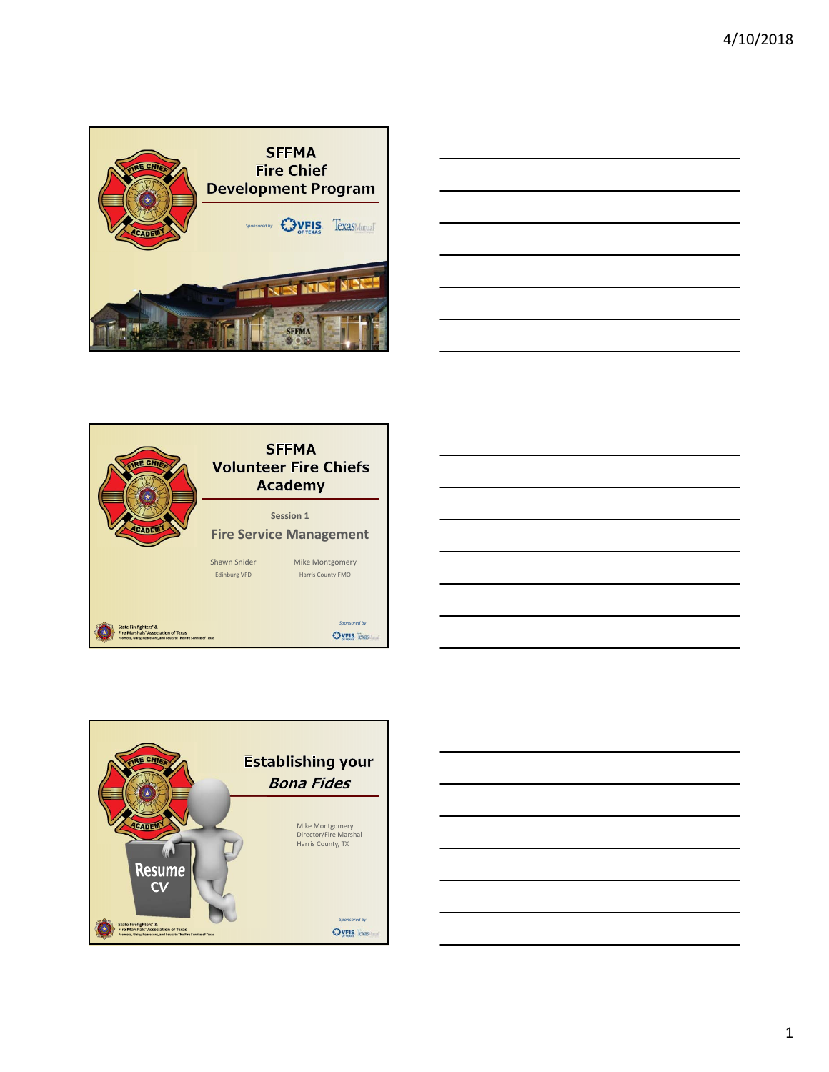

|                                 | the control of the control of the control of the control of the control of the control of |  |
|---------------------------------|-------------------------------------------------------------------------------------------|--|
|                                 |                                                                                           |  |
| the contract of the contract of |                                                                                           |  |







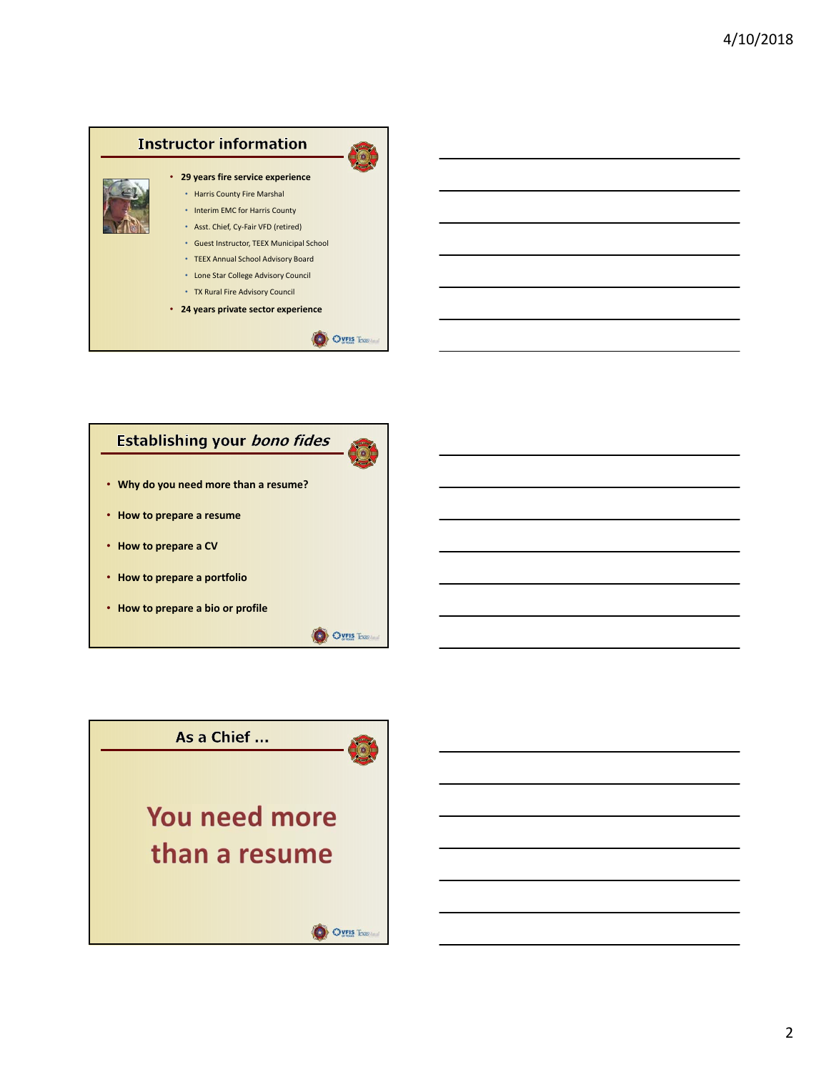

# Establishing your bono fides



O OVEIS Texas

- **Why do you need more than a resume?**
- **How to prepare a resume**
- **How to prepare a CV**
- **How to prepare a portfolio**
- **How to prepare a bio or profile**

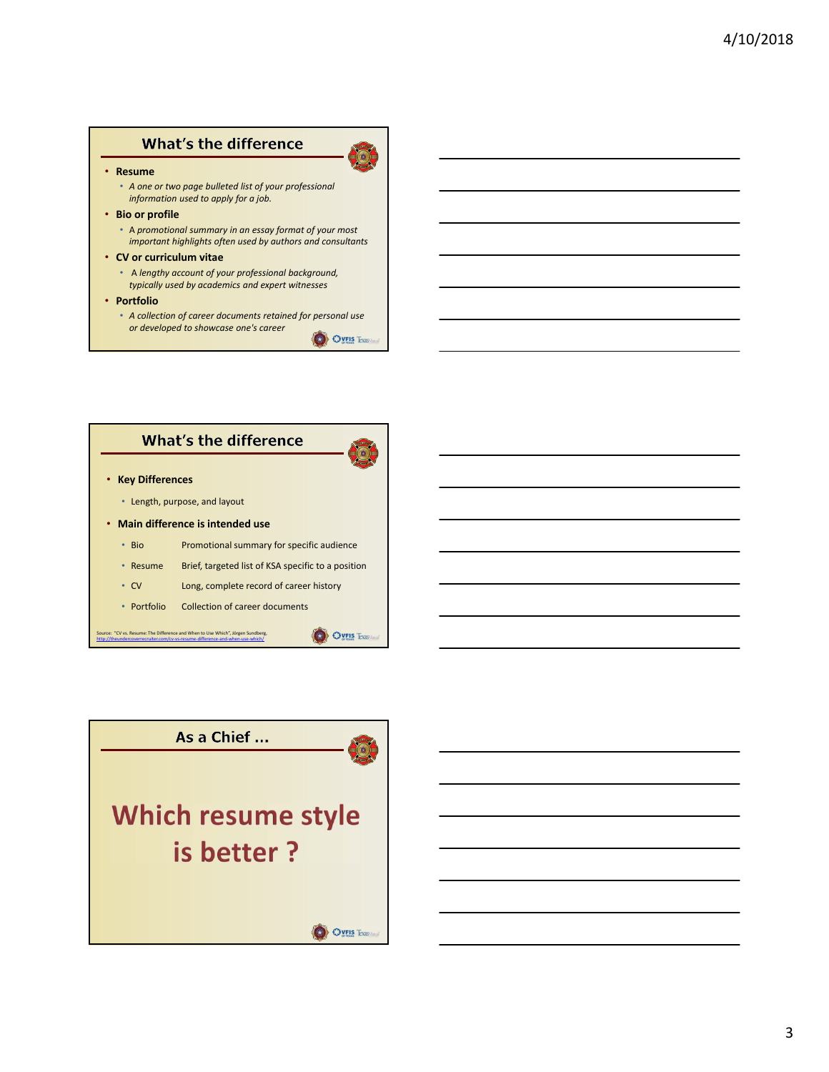# **What's the difference**

#### • **Resume**

- *A one or two page bulleted list of your professional information used to apply for a job.*
- **Bio or profile**
	- A *promotional summary in an essay format of your most important highlights often used by authors and consultants*
- **CV or curriculum vitae**
	- A *lengthy account of your professional background, typically used by academics and expert witnesses*
- **Portfolio**
	- *A collection of career documents retained for personal use or developed to showcase one's career* O OVEIS Texas



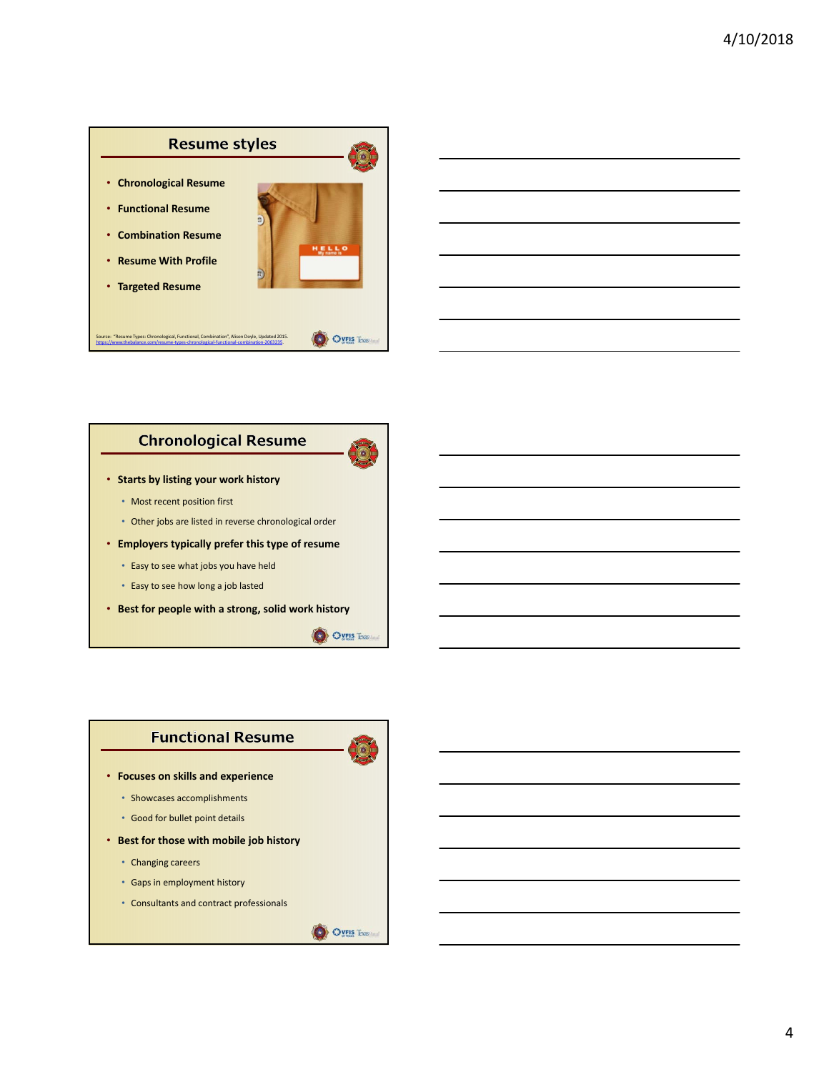



#### **Chronological Resume**



- **Starts by listing your work history**
	- Most recent position first
	- Other jobs are listed in reverse chronological order
- **Employers typically prefer this type of resume**
	- Easy to see what jobs you have held
	- Easy to see how long a job lasted
- **Best for people with a strong, solid work history**



# **Functional Resume**

- **Focuses on skills and experience**
	- Showcases accomplishments
	- Good for bullet point details
- **Best for those with mobile job history**
	- Changing careers
	- Gaps in employment history
	- Consultants and contract professionals

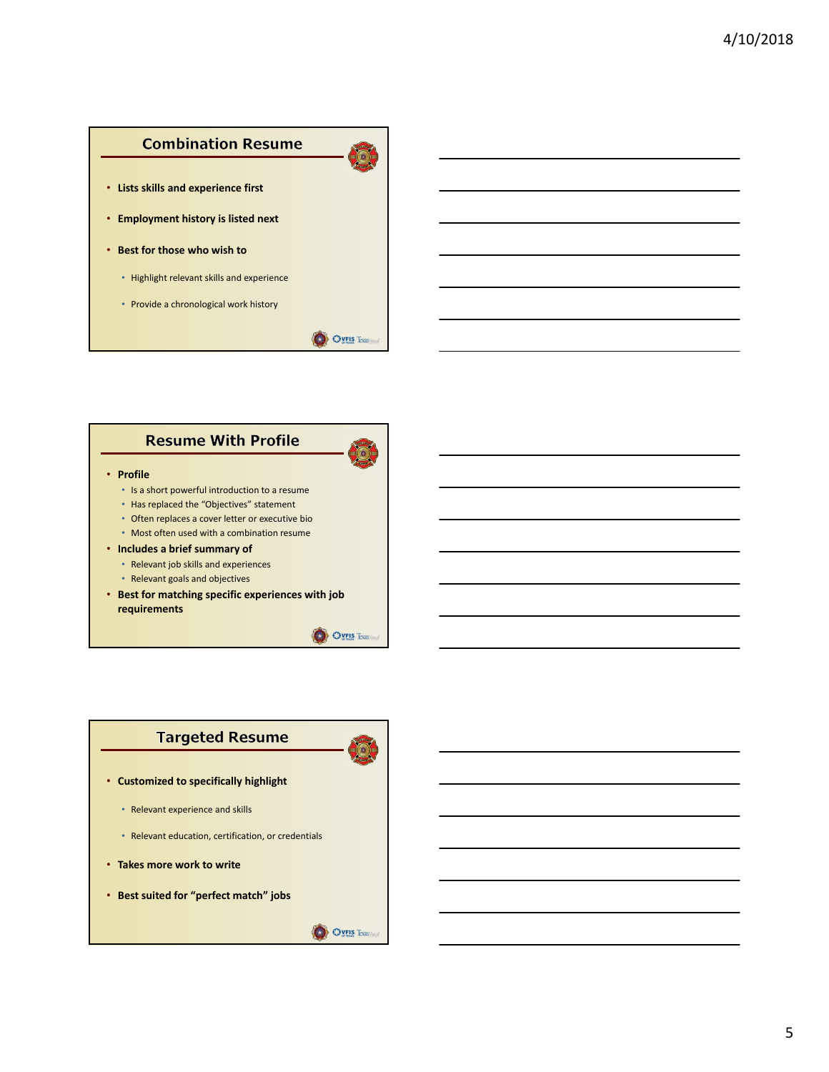# **Combination Resume**

- **Lists skills and experience first**
- **Employment history is listed next**
- **Best for those who wish to**
	- Highlight relevant skills and experience
	- Provide a chronological work history



O OVEIS Texas

# **Resume With Profile**

#### • **Profile**

- Is a short powerful introduction to a resume
- Has replaced the "Objectives" statement • Often replaces a cover letter or executive bio
- Most often used with a combination resume
- **Includes a brief summary of**
	- Relevant job skills and experiences
	- Relevant goals and objectives
- **Best for matching specific experiences with job requirements**



**OVEIS Texas** 

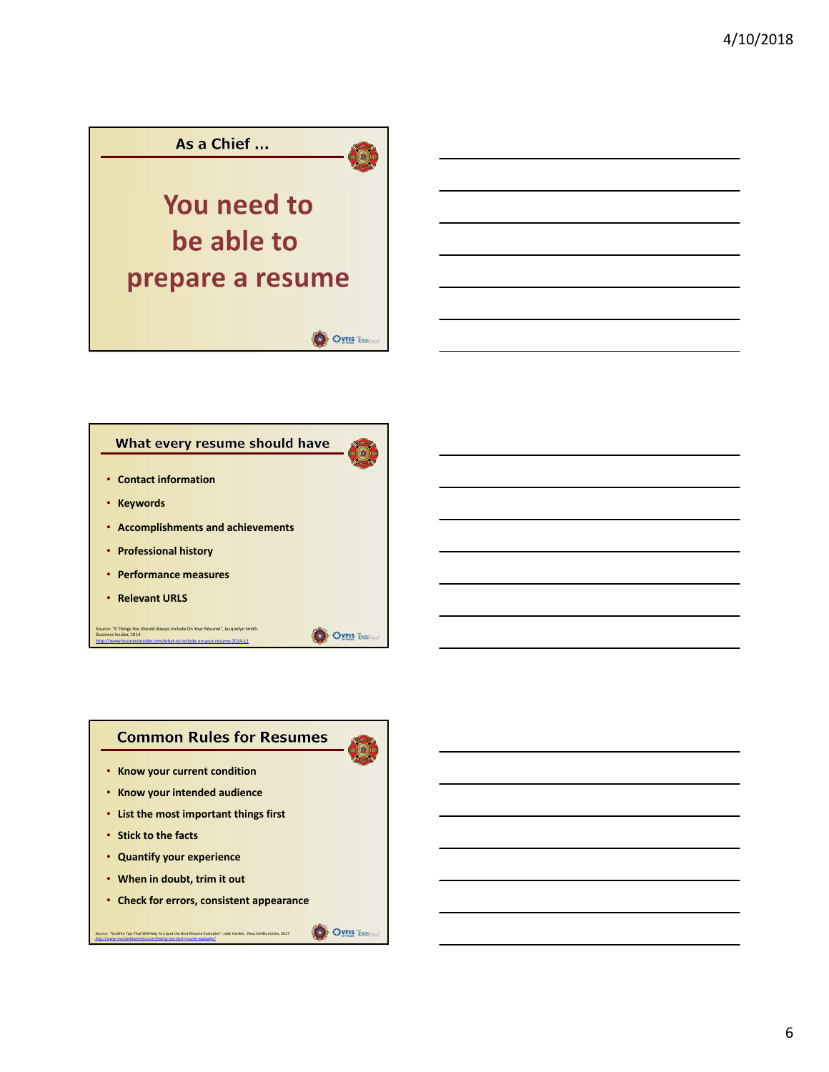

#### What every resume should have

- **Contact information**
- **Keywords**
- **Accomplishments and achievements**
- **Professional history**
- **Performance measures**
- **Relevant URLS**

Source: "6 Things You Should Always Include On Your Résumé", Jacquelyn Smith. Business Insider, 2014. http://www.businessinsider.com/what‐to‐include‐on‐your‐resume‐2014‐12



• **When in doubt, trim it out**

*http://www.resume4dummies.com/finding‐tips‐best‐resume‐examples/*

• **Check for errors, consistent appearance**

Source: "Surefire Tips That Will Help You Spot the Best Resume Examples". Jade Harden. Resume4Dummies, 2017.

O OVEIS Texas

O OVEIS Trus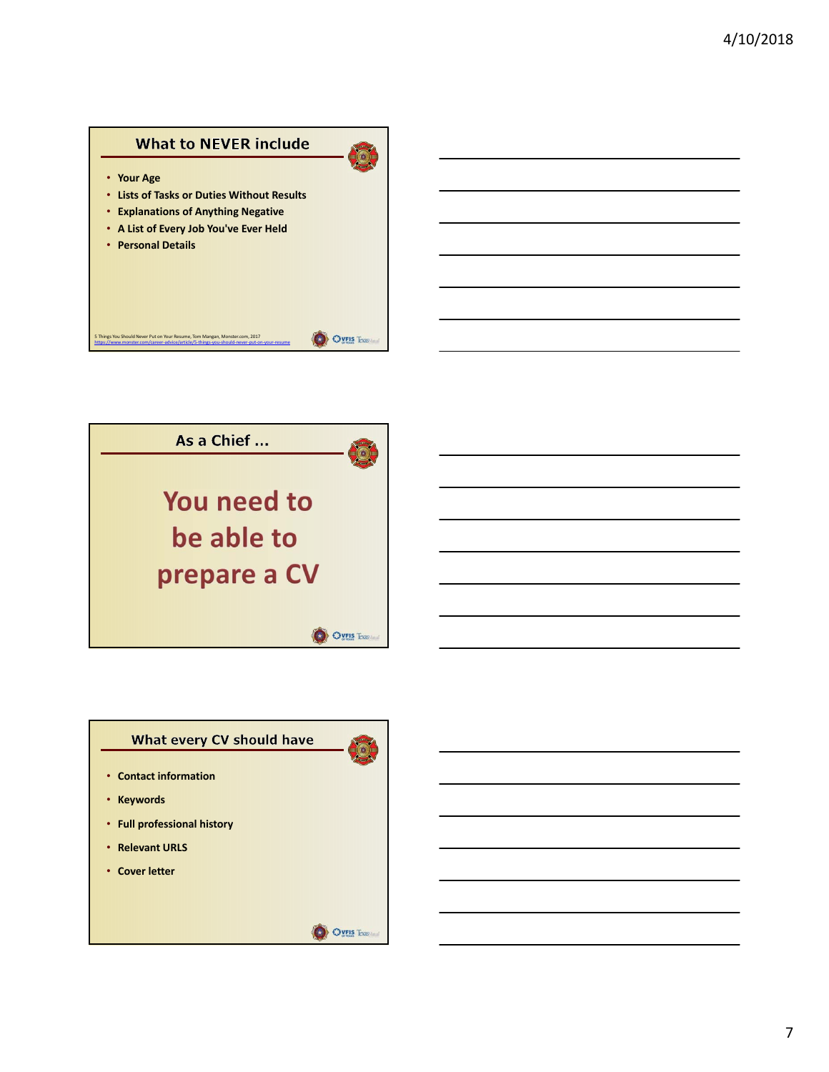### **What to NEVER include**

 $\odot$ 

- **Your Age**
- **Lists of Tasks or Duties Without Results**
- **Explanations of Anything Negative**
- **A List of Every Job You've Ever Held**
- **Personal Details**





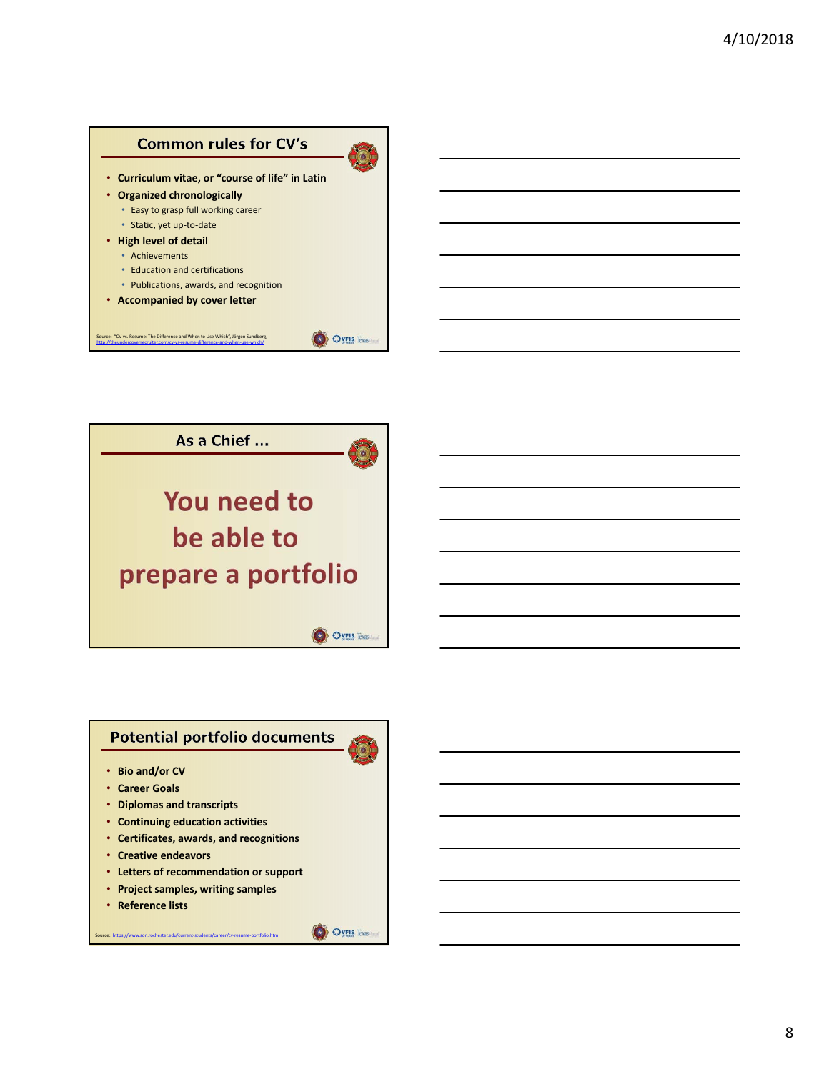



# **Potential portfolio documents**

- **Bio and/or CV**
- **Career Goals**
- **Diplomas and transcripts**
- **Continuing education activities**
- **Certificates, awards, and recognitions**
- **Creative endeavors**
- **Letters of recommendation or support**
- **Project samples, writing samples**

Source: https://www.son.rochester.edu/current-students/career/cv-resume-portfolio.html

• **Reference lists**

O OVEIS Taxas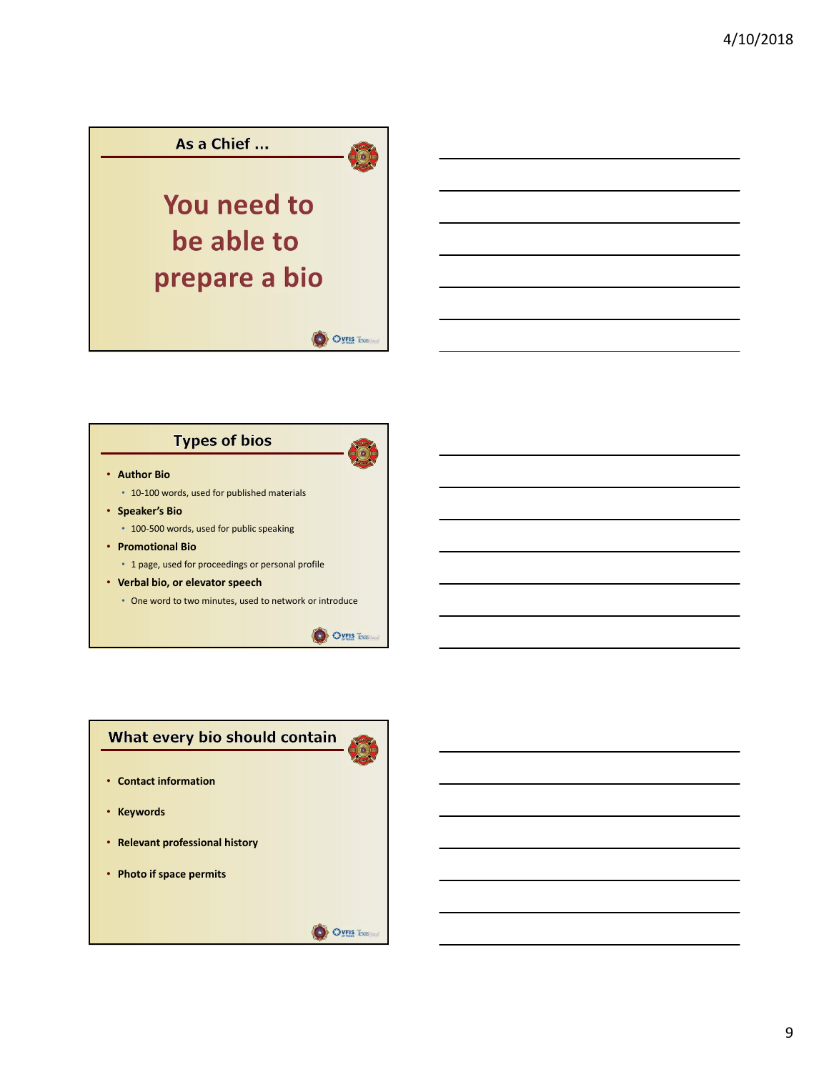

# **Types of bios**



**OVEIS Texas** 

- **Author Bio**
	- 10‐100 words, used for published materials
- **Speaker's Bio**
	- 100‐500 words, used for public speaking
- **Promotional Bio**
	- 1 page, used for proceedings or personal profile
- **Verbal bio, or elevator speech**
	- One word to two minutes, used to network or introduce